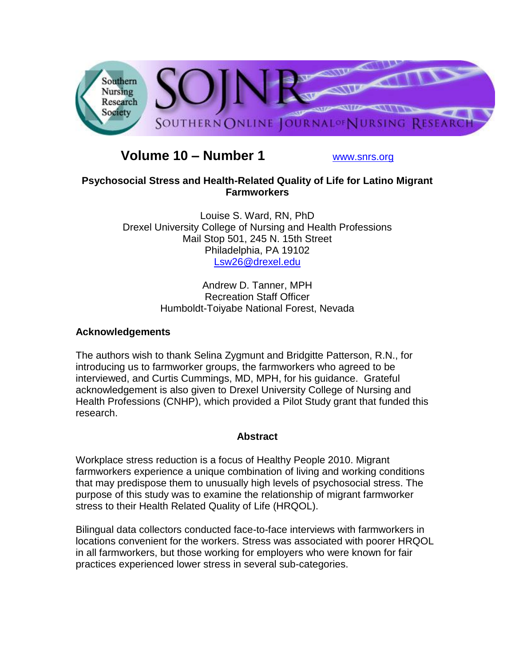

# **Volume 10 – Number 1** [www.snrs.org](http://www.snrs.org/)

# **Psychosocial Stress and Health-Related Quality of Life for Latino Migrant Farmworkers**

Louise S. Ward, RN, PhD Drexel University College of Nursing and Health Professions Mail Stop 501, 245 N. 15th Street Philadelphia, PA 19102 [Lsw26@drexel.edu](mailto:Lsw26@drexel.edu)

> Andrew D. Tanner, MPH Recreation Staff Officer Humboldt-Toiyabe National Forest, Nevada

# **Acknowledgements**

The authors wish to thank Selina Zygmunt and Bridgitte Patterson, R.N., for introducing us to farmworker groups, the farmworkers who agreed to be interviewed, and Curtis Cummings, MD, MPH, for his guidance. Grateful acknowledgement is also given to Drexel University College of Nursing and Health Professions (CNHP), which provided a Pilot Study grant that funded this research.

# **Abstract**

Workplace stress reduction is a focus of Healthy People 2010. Migrant farmworkers experience a unique combination of living and working conditions that may predispose them to unusually high levels of psychosocial stress. The purpose of this study was to examine the relationship of migrant farmworker stress to their Health Related Quality of Life (HRQOL).

Bilingual data collectors conducted face-to-face interviews with farmworkers in locations convenient for the workers. Stress was associated with poorer HRQOL in all farmworkers, but those working for employers who were known for fair practices experienced lower stress in several sub-categories.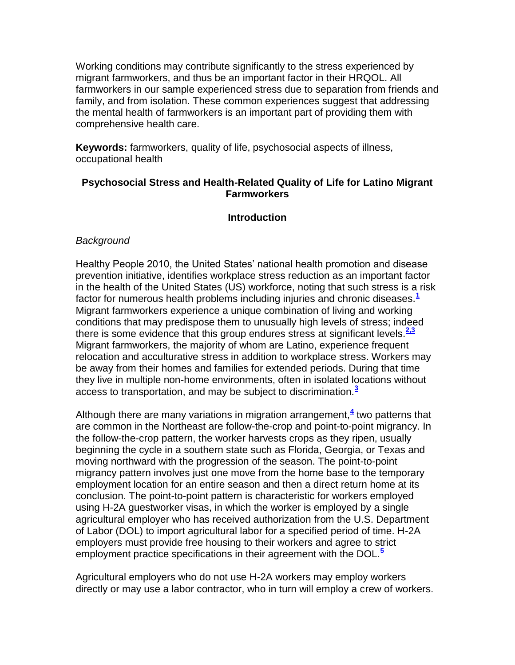Working conditions may contribute significantly to the stress experienced by migrant farmworkers, and thus be an important factor in their HRQOL. All farmworkers in our sample experienced stress due to separation from friends and family, and from isolation. These common experiences suggest that addressing the mental health of farmworkers is an important part of providing them with comprehensive health care.

**Keywords:** farmworkers, quality of life, psychosocial aspects of illness, occupational health

# **Psychosocial Stress and Health-Related Quality of Life for Latino Migrant Farmworkers**

# **Introduction**

## *Background*

Healthy People 2010, the United States' national health promotion and disease prevention initiative, identifies workplace stress reduction as an important factor in the health of the United States (US) workforce, noting that such stress is a risk factor for numerous health problems including injuries and chronic diseases.**[1](http://snrs.org/publications/SOJNR_articles2/n)** Migrant farmworkers experience a unique combination of living and working conditions that may predispose them to unusually high levels of stress; indeed there is some evidence that this group endures stress at significant levels.**[2,3](http://snrs.org/publications/SOJNR_articles2/n)** Migrant farmworkers, the majority of whom are Latino, experience frequent relocation and acculturative stress in addition to workplace stress. Workers may be away from their homes and families for extended periods. During that time they live in multiple non-home environments, often in isolated locations without access to transportation, and may be subject to discrimination.**[3](http://snrs.org/publications/SOJNR_articles2/n)**

Although there are many variations in migration arrangement,**[4](http://snrs.org/publications/SOJNR_articles2/n)** two patterns that are common in the Northeast are follow-the-crop and point-to-point migrancy. In the follow-the-crop pattern, the worker harvests crops as they ripen, usually beginning the cycle in a southern state such as Florida, Georgia, or Texas and moving northward with the progression of the season. The point-to-point migrancy pattern involves just one move from the home base to the temporary employment location for an entire season and then a direct return home at its conclusion. The point-to-point pattern is characteristic for workers employed using H-2A guestworker visas, in which the worker is employed by a single agricultural employer who has received authorization from the U.S. Department of Labor (DOL) to import agricultural labor for a specified period of time. H-2A employers must provide free housing to their workers and agree to strict employment practice specifications in their agreement with the DOL.**[5](http://snrs.org/publications/SOJNR_articles2/n)**

Agricultural employers who do not use H-2A workers may employ workers directly or may use a labor contractor, who in turn will employ a crew of workers.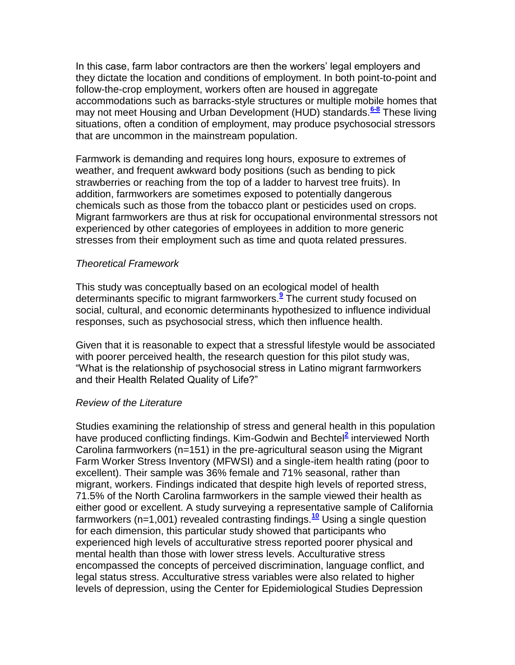In this case, farm labor contractors are then the workers' legal employers and they dictate the location and conditions of employment. In both point-to-point and follow-the-crop employment, workers often are housed in aggregate accommodations such as barracks-style structures or multiple mobile homes that may not meet Housing and Urban Development (HUD) standards.**[6-8](http://snrs.org/publications/SOJNR_articles2/n)** These living situations, often a condition of employment, may produce psychosocial stressors that are uncommon in the mainstream population.

Farmwork is demanding and requires long hours, exposure to extremes of weather, and frequent awkward body positions (such as bending to pick strawberries or reaching from the top of a ladder to harvest tree fruits). In addition, farmworkers are sometimes exposed to potentially dangerous chemicals such as those from the tobacco plant or pesticides used on crops. Migrant farmworkers are thus at risk for occupational environmental stressors not experienced by other categories of employees in addition to more generic stresses from their employment such as time and quota related pressures.

#### *Theoretical Framework*

This study was conceptually based on an ecological model of health determinants specific to migrant farmworkers.**[9](http://snrs.org/publications/SOJNR_articles2/n)** The current study focused on social, cultural, and economic determinants hypothesized to influence individual responses, such as psychosocial stress, which then influence health.

Given that it is reasonable to expect that a stressful lifestyle would be associated with poorer perceived health, the research question for this pilot study was, "What is the relationship of psychosocial stress in Latino migrant farmworkers and their Health Related Quality of Life?"

#### *Review of the Literature*

Studies examining the relationship of stress and general health in this population have produced conflicting findings. Kim-Godwin and Bechte[l](http://snrs.org/publications/SOJNR_articles2/n)**<sup>2</sup>** interviewed North Carolina farmworkers (n=151) in the pre-agricultural season using the Migrant Farm Worker Stress Inventory (MFWSI) and a single-item health rating (poor to excellent). Their sample was 36% female and 71% seasonal, rather than migrant, workers. Findings indicated that despite high levels of reported stress, 71.5% of the North Carolina farmworkers in the sample viewed their health as either good or excellent. A study surveying a representative sample of California farmworkers (n=1,001) revealed contrasting findings.**[10](http://snrs.org/publications/SOJNR_articles2/n)** Using a single question for each dimension, this particular study showed that participants who experienced high levels of acculturative stress reported poorer physical and mental health than those with lower stress levels. Acculturative stress encompassed the concepts of perceived discrimination, language conflict, and legal status stress. Acculturative stress variables were also related to higher levels of depression, using the Center for Epidemiological Studies Depression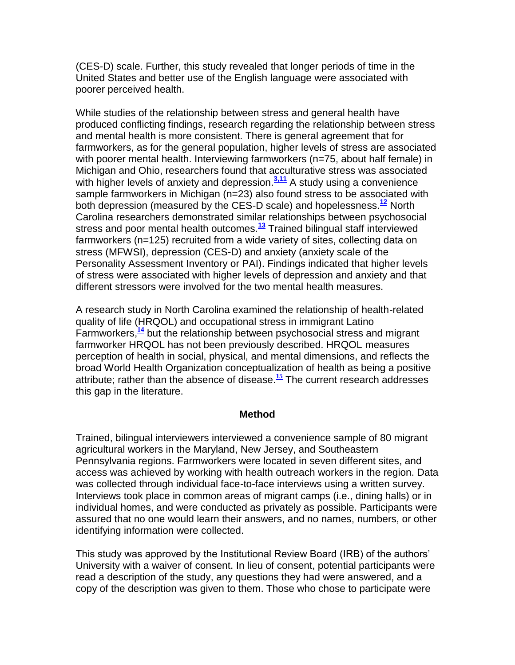(CES-D) scale. Further, this study revealed that longer periods of time in the United States and better use of the English language were associated with poorer perceived health.

While studies of the relationship between stress and general health have produced conflicting findings, research regarding the relationship between stress and mental health is more consistent. There is general agreement that for farmworkers, as for the general population, higher levels of stress are associated with poorer mental health. Interviewing farmworkers (n=75, about half female) in Michigan and Ohio, researchers found that acculturative stress was associated with higher levels of anxiety and depression.<sup>[3,11](http://snrs.org/publications/SOJNR_articles2/n)</sup> A study using a convenience sample farmworkers in Michigan (n=23) also found stress to be associated with both depression (measured by the CES-D scale) and hopelessness.**[12](http://snrs.org/publications/SOJNR_articles2/n)** North Carolina researchers demonstrated similar relationships between psychosocial stress and poor mental health outcomes.**[13](http://snrs.org/publications/SOJNR_articles2/n)** Trained bilingual staff interviewed farmworkers (n=125) recruited from a wide variety of sites, collecting data on stress (MFWSI), depression (CES-D) and anxiety (anxiety scale of the Personality Assessment Inventory or PAI). Findings indicated that higher levels of stress were associated with higher levels of depression and anxiety and that different stressors were involved for the two mental health measures.

A research study in North Carolina examined the relationship of health-related quality of life (HRQOL) and occupational stress in immigrant Latino Farmworkers,**[14](http://snrs.org/publications/SOJNR_articles2/n)** but the relationship between psychosocial stress and migrant farmworker HRQOL has not been previously described. HRQOL measures perception of health in social, physical, and mental dimensions, and reflects the broad World Health Organization conceptualization of health as being a positive attribute; rather than the absence of disease.**[15](http://snrs.org/publications/SOJNR_articles2/n)** The current research addresses this gap in the literature.

## **Method**

Trained, bilingual interviewers interviewed a convenience sample of 80 migrant agricultural workers in the Maryland, New Jersey, and Southeastern Pennsylvania regions. Farmworkers were located in seven different sites, and access was achieved by working with health outreach workers in the region. Data was collected through individual face-to-face interviews using a written survey. Interviews took place in common areas of migrant camps (i.e., dining halls) or in individual homes, and were conducted as privately as possible. Participants were assured that no one would learn their answers, and no names, numbers, or other identifying information were collected.

This study was approved by the Institutional Review Board (IRB) of the authors' University with a waiver of consent. In lieu of consent, potential participants were read a description of the study, any questions they had were answered, and a copy of the description was given to them. Those who chose to participate were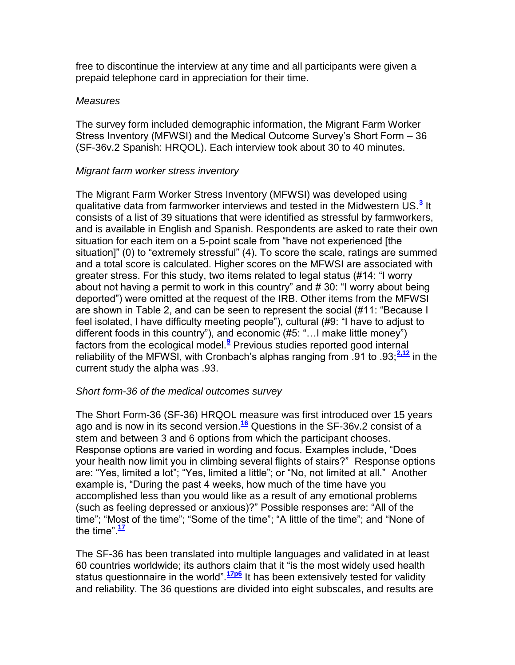free to discontinue the interview at any time and all participants were given a prepaid telephone card in appreciation for their time.

#### *Measures*

The survey form included demographic information, the Migrant Farm Worker Stress Inventory (MFWSI) and the Medical Outcome Survey's Short Form – 36 (SF-36v.2 Spanish: HRQOL). Each interview took about 30 to 40 minutes.

#### *Migrant farm worker stress inventory*

The Migrant Farm Worker Stress Inventory (MFWSI) was developed using qualitative data from farmworker interviews and tested in the Midwestern US.**[3](http://snrs.org/publications/SOJNR_articles2/n)** It consists of a list of 39 situations that were identified as stressful by farmworkers, and is available in English and Spanish. Respondents are asked to rate their own situation for each item on a 5-point scale from "have not experienced [the situation]" (0) to "extremely stressful" (4). To score the scale, ratings are summed and a total score is calculated. Higher scores on the MFWSI are associated with greater stress. For this study, two items related to legal status (#14: "I worry about not having a permit to work in this country" and # 30: "I worry about being deported") were omitted at the request of the IRB. Other items from the MFWSI are shown in Table 2, and can be seen to represent the social (#11: "Because I feel isolated, I have difficulty meeting people"), cultural (#9: "I have to adjust to different foods in this country"), and economic (#5: "…I make little money") factors from the ecological model.**[9](http://snrs.org/publications/SOJNR_articles2/n)** Previous studies reported good internal reliability of the MFWSI, with Cronbach's alphas ranging from .91 to .93;**[2,12](http://snrs.org/publications/SOJNR_articles2/n)** in the current study the alpha was .93.

## *Short form-36 of the medical outcomes survey*

The Short Form-36 (SF-36) HRQOL measure was first introduced over 15 years ago and is now in its second version.**[16](http://snrs.org/publications/SOJNR_articles2/n)** Questions in the SF-36v.2 consist of a stem and between 3 and 6 options from which the participant chooses. Response options are varied in wording and focus. Examples include, "Does your health now limit you in climbing several flights of stairs?" Response options are: "Yes, limited a lot"; "Yes, limited a little"; or "No, not limited at all." Another example is, "During the past 4 weeks, how much of the time have you accomplished less than you would like as a result of any emotional problems (such as feeling depressed or anxious)?" Possible responses are: "All of the time"; "Most of the time"; "Some of the time"; "A little of the time"; and "None of the time"  $\frac{17}{1}$  $\frac{17}{1}$  $\frac{17}{1}$ 

The SF-36 has been translated into multiple languages and validated in at least 60 countries worldwide; its authors claim that it "is the most widely used health status questionnaire in the world".<sup>[17p6](http://snrs.org/publications/SOJNR_articles2/n)</sup> It has been extensively tested for validity and reliability. The 36 questions are divided into eight subscales, and results are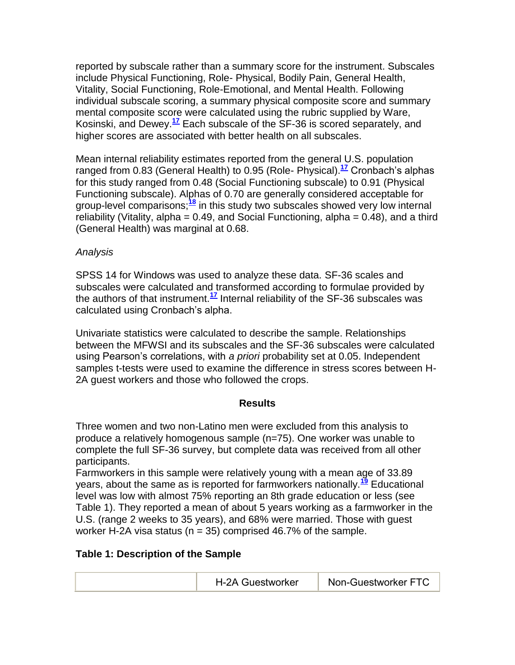reported by subscale rather than a summary score for the instrument. Subscales include Physical Functioning, Role- Physical, Bodily Pain, General Health, Vitality, Social Functioning, Role-Emotional, and Mental Health. Following individual subscale scoring, a summary physical composite score and summary mental composite score were calculated using the rubric supplied by Ware, Kosinski, and Dewey.**[17](http://snrs.org/publications/SOJNR_articles2/n)** Each subscale of the SF-36 is scored separately, and higher scores are associated with better health on all subscales.

Mean internal reliability estimates reported from the general U.S. population ranged from 0.83 (General Health) to 0.95 (Role- Physical).**[17](http://snrs.org/publications/SOJNR_articles2/n)** Cronbach's alphas for this study ranged from 0.48 (Social Functioning subscale) to 0.91 (Physical Functioning subscale). Alphas of 0.70 are generally considered acceptable for group-level comparisons;**[18](http://snrs.org/publications/SOJNR_articles2/n)** in this study two subscales showed very low internal reliability (Vitality, alpha =  $0.49$ , and Social Functioning, alpha =  $0.48$ ), and a third (General Health) was marginal at 0.68.

# *Analysis*

SPSS 14 for Windows was used to analyze these data. SF-36 scales and subscales were calculated and transformed according to formulae provided by the authors of that instrument.**[17](http://snrs.org/publications/SOJNR_articles2/n)** Internal reliability of the SF-36 subscales was calculated using Cronbach's alpha.

Univariate statistics were calculated to describe the sample. Relationships between the MFWSI and its subscales and the SF-36 subscales were calculated using Pearson's correlations, with *a priori* probability set at 0.05. Independent samples t-tests were used to examine the difference in stress scores between H-2A guest workers and those who followed the crops.

## **Results**

Three women and two non-Latino men were excluded from this analysis to produce a relatively homogenous sample (n=75). One worker was unable to complete the full SF-36 survey, but complete data was received from all other participants.

Farmworkers in this sample were relatively young with a mean age of 33.89 years, about the same as is reported for farmworkers nationally.**[19](http://snrs.org/publications/SOJNR_articles2/n)** Educational level was low with almost 75% reporting an 8th grade education or less (see Table 1). They reported a mean of about 5 years working as a farmworker in the U.S. (range 2 weeks to 35 years), and 68% were married. Those with guest worker H-2A visa status ( $n = 35$ ) comprised 46.7% of the sample.

## **Table 1: Description of the Sample**

|--|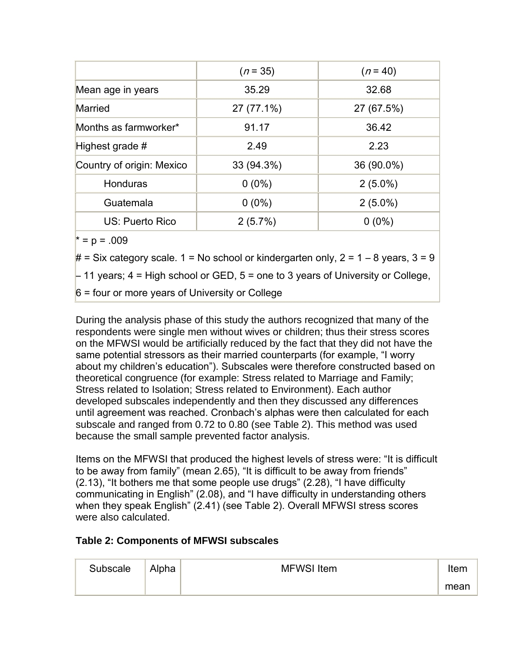|                           | $(n=35)$   | $(n = 40)$ |  |
|---------------------------|------------|------------|--|
| Mean age in years         | 35.29      | 32.68      |  |
| Married                   | 27 (77.1%) | 27 (67.5%) |  |
| Months as farmworker*     | 91.17      | 36.42      |  |
| Highest grade #           | 2.49       | 2.23       |  |
| Country of origin: Mexico | 33 (94.3%) | 36 (90.0%) |  |
| Honduras                  | $0(0\%)$   | $2(5.0\%)$ |  |
| Guatemala                 | $0(0\%)$   | $2(5.0\%)$ |  |
| US: Puerto Rico           | 2(5.7%)    | $0(0\%)$   |  |

 $* = p = .009$ 

 $#$  = Six category scale. 1 = No school or kindergarten only, 2 = 1 – 8 years, 3 = 9

– 11 years; 4 = High school or GED, 5 = one to 3 years of University or College,

6 = four or more years of University or College

During the analysis phase of this study the authors recognized that many of the respondents were single men without wives or children; thus their stress scores on the MFWSI would be artificially reduced by the fact that they did not have the same potential stressors as their married counterparts (for example, "I worry about my children's education"). Subscales were therefore constructed based on theoretical congruence (for example: Stress related to Marriage and Family; Stress related to Isolation; Stress related to Environment). Each author developed subscales independently and then they discussed any differences until agreement was reached. Cronbach's alphas were then calculated for each subscale and ranged from 0.72 to 0.80 (see Table 2). This method was used because the small sample prevented factor analysis.

Items on the MFWSI that produced the highest levels of stress were: "It is difficult to be away from family" (mean 2.65), "It is difficult to be away from friends" (2.13), "It bothers me that some people use drugs" (2.28), "I have difficulty communicating in English" (2.08), and "I have difficulty in understanding others when they speak English" (2.41) (see Table 2). Overall MFWSI stress scores were also calculated.

# **Table 2: Components of MFWSI subscales**

| Subscale | Alpha | <b>MFWSI</b> Item | Item |
|----------|-------|-------------------|------|
|          |       |                   | mean |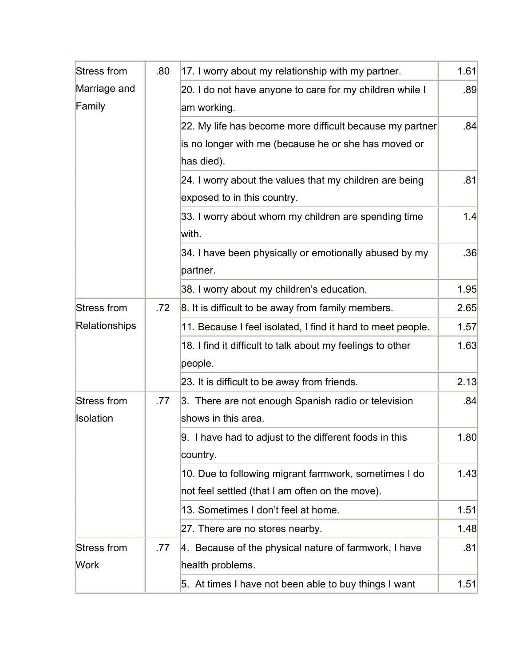| Stress from        | .80 | 17. I worry about my relationship with my partner.          |      |  |  |
|--------------------|-----|-------------------------------------------------------------|------|--|--|
| Marriage and       |     | 20. I do not have anyone to care for my children while I    |      |  |  |
| Family             |     | am working.                                                 |      |  |  |
|                    |     | 22. My life has become more difficult because my partner    | .84  |  |  |
|                    |     | is no longer with me (because he or she has moved or        |      |  |  |
|                    |     | has died).                                                  |      |  |  |
|                    |     | 24. I worry about the values that my children are being     | .81  |  |  |
|                    |     | exposed to in this country.                                 |      |  |  |
|                    |     | 33. I worry about whom my children are spending time        | 1.4  |  |  |
|                    |     | with.                                                       |      |  |  |
|                    |     | 34. I have been physically or emotionally abused by my      | .36  |  |  |
|                    |     | partner.                                                    |      |  |  |
|                    |     | 38. I worry about my children's education.                  | 1.95 |  |  |
| Stress from<br>.72 |     | 8. It is difficult to be away from family members.          | 2.65 |  |  |
| Relationships      |     | 11. Because I feel isolated, I find it hard to meet people. | 1.57 |  |  |
|                    |     | 18. I find it difficult to talk about my feelings to other  | 1.63 |  |  |
|                    |     | people.                                                     |      |  |  |
|                    |     | 23. It is difficult to be away from friends.                | 2.13 |  |  |
| Stress from        | .77 | 3. There are not enough Spanish radio or television         | .84  |  |  |
| Isolation          |     | shows in this area.                                         |      |  |  |
|                    |     | 9. I have had to adjust to the different foods in this      | 1.80 |  |  |
|                    |     | country.                                                    |      |  |  |
|                    |     | 10. Due to following migrant farmwork, sometimes I do       | 1.43 |  |  |
|                    |     | not feel settled (that I am often on the move).             |      |  |  |
|                    |     | 13. Sometimes I don't feel at home.                         | 1.51 |  |  |
|                    |     | 27. There are no stores nearby.                             | 1.48 |  |  |
| Stress from        | .77 | 4. Because of the physical nature of farmwork, I have       | .81  |  |  |
| <b>Work</b>        |     | health problems.                                            |      |  |  |
|                    |     | 5. At times I have not been able to buy things I want       | 1.51 |  |  |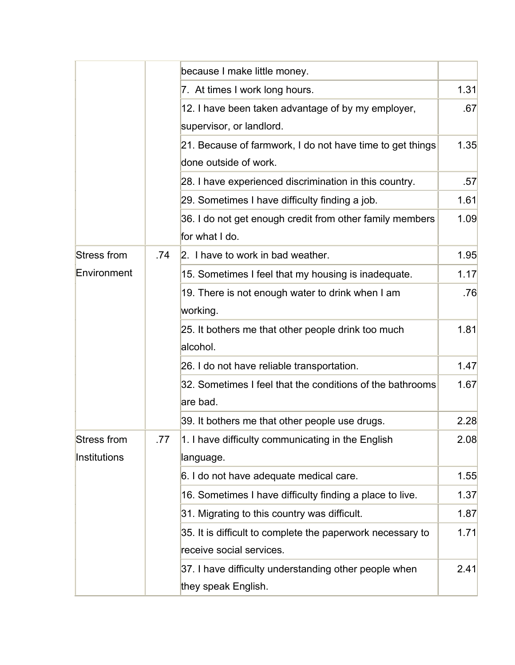|                    |     | because I make little money.                                               |      |
|--------------------|-----|----------------------------------------------------------------------------|------|
|                    |     | 7. At times I work long hours.                                             |      |
|                    |     | 12. I have been taken advantage of by my employer,                         | .67  |
|                    |     | supervisor, or landlord.                                                   |      |
|                    |     | 21. Because of farmwork, I do not have time to get things                  | 1.35 |
|                    |     | done outside of work.                                                      |      |
|                    |     | 28. I have experienced discrimination in this country.                     | .57  |
|                    |     | 29. Sometimes I have difficulty finding a job.                             | 1.61 |
|                    |     | 36. I do not get enough credit from other family members<br>for what I do. | 1.09 |
| Stress from        | .74 | 2. I have to work in bad weather.                                          | 1.95 |
| Environment        |     | 15. Sometimes I feel that my housing is inadequate.                        | 1.17 |
|                    |     | 19. There is not enough water to drink when I am                           | .76  |
|                    |     | working.                                                                   |      |
|                    |     | 25. It bothers me that other people drink too much                         | 1.81 |
|                    |     | alcohol.                                                                   |      |
|                    |     | 26. I do not have reliable transportation.                                 | 1.47 |
|                    |     | 32. Sometimes I feel that the conditions of the bathrooms                  | 1.67 |
|                    |     | are bad.                                                                   |      |
|                    |     | 39. It bothers me that other people use drugs.                             | 2.28 |
| <b>Stress from</b> | .77 | 1. I have difficulty communicating in the English                          | 2.08 |
| Institutions       |     | language.                                                                  |      |
|                    |     | 6. I do not have adequate medical care.                                    | 1.55 |
|                    |     | 16. Sometimes I have difficulty finding a place to live.                   | 1.37 |
|                    |     | 31. Migrating to this country was difficult.                               | 1.87 |
|                    |     | 35. It is difficult to complete the paperwork necessary to                 | 1.71 |
|                    |     | receive social services.                                                   |      |
|                    |     | 37. I have difficulty understanding other people when                      | 2.41 |
|                    |     | they speak English.                                                        |      |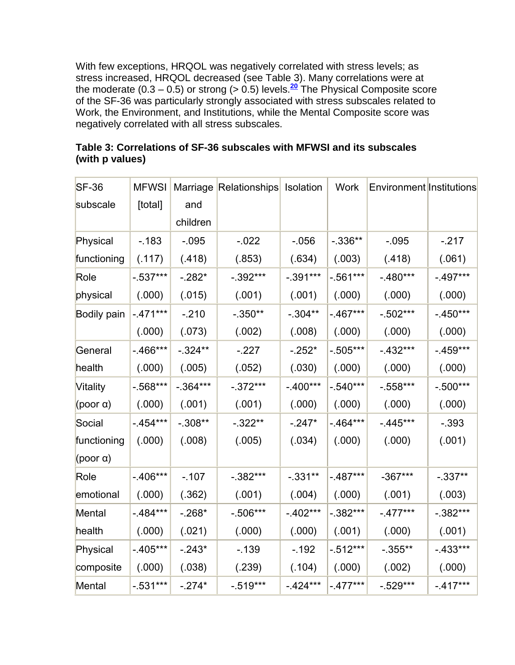With few exceptions, HRQOL was negatively correlated with stress levels; as stress increased, HRQOL decreased (see Table 3). Many correlations were at the moderate ( $0.3 - 0.5$ ) or strong ( $> 0.5$ ) levels.<sup>[20](http://snrs.org/publications/SOJNR_articles2/n)</sup> The Physical Composite score of the SF-36 was particularly strongly associated with stress subscales related to Work, the Environment, and Institutions, while the Mental Composite score was negatively correlated with all stress subscales.

| $SF-36$            | <b>MFWSI</b> |             | Marriage Relationships Isolation |            | Work        | Environment Institutions |             |
|--------------------|--------------|-------------|----------------------------------|------------|-------------|--------------------------|-------------|
|                    |              |             |                                  |            |             |                          |             |
| subscale           | [total]      | and         |                                  |            |             |                          |             |
|                    |              | children    |                                  |            |             |                          |             |
| Physical           | $-183$       | $-0.095$    | $-0.022$                         | $-0.056$   | $-0.336**$  | $-.095$                  | $-217$      |
| functioning        | (.117)       | (.418)      | (.853)                           | (.634)     | (.003)      | (.418)                   | (.061)      |
| Role               | $-0.537***$  | $-282*$     | $-0.392***$                      | $-.391***$ | $-0.561***$ | $-.480***$               | $-497***$   |
| physical           | (.000)       | (.015)      | (.001)                           | (.001)     | (.000)      | (.000)                   | (.000)      |
| <b>Bodily pain</b> | $-471***$    | $-210$      | $-0.350**$                       | $-.304**$  | $-467***$   | $-0.502***$              | $-450***$   |
|                    | (.000)       | (.073)      | (.002)                           | (.008)     | (.000)      | (.000)                   | (.000)      |
| General            | $-466***$    | $-.324**$   | $-227$                           | $-252*$    | $-0.505***$ | $-432***$                | $-459***$   |
| health             | (.000)       | (.005)      | (.052)                           | (.030)     | (.000)      | (.000)                   | (.000)      |
| Vitality           | $-0.568***$  | $-0.364***$ | $-.372***$                       | $-400***$  | $-0.540***$ | $-0.558***$              | $-0.500***$ |
| (poor $\alpha$ )   | (.000)       | (.001)      | (.001)                           | (.000)     | (.000)      | (.000)                   | (.000)      |
| Social             | $-454***$    | $-0.308**$  | $-0.322**$                       | $-247*$    | $-464***$   | $-445***$                | $-0.393$    |
| functioning        | (.000)       | (.008)      | (.005)                           | (.034)     | (.000)      | (.000)                   | (.001)      |
| (poor $\alpha$ )   |              |             |                                  |            |             |                          |             |
| Role               | $-406***$    | $-.107$     | $-.382***$                       | $-.331**$  | $-0.487***$ | $-367***$                | $-0.337**$  |
| emotional          | (.000)       | (.362)      | (.001)                           | (.004)     | (.000)      | (.001)                   | (.003)      |
| Mental             | $-484***$    | $-268*$     | $-0.506***$                      | $-402***$  | $-.382***$  | $-477***$                | $-0.382***$ |
| health             | (.000)       | (.021)      | (.000)                           | (.000)     | (.001)      | (.000)                   | (.001)      |
| Physical           | $-405***$    | $-243*$     | $-139$                           | $-.192$    | $-0.512***$ | $-0.355**$               | $-.433***$  |
| composite          | (.000)       | (.038)      | (.239)                           | (.104)     | (.000)      | (.002)                   | (.000)      |
| Mental             | $-0.531***$  | $-274*$     | $-0.519***$                      | $-424***$  | $-477***$   | $-0.529***$              | $-.417***$  |

# **Table 3: Correlations of SF-36 subscales with MFWSI and its subscales (with p values)**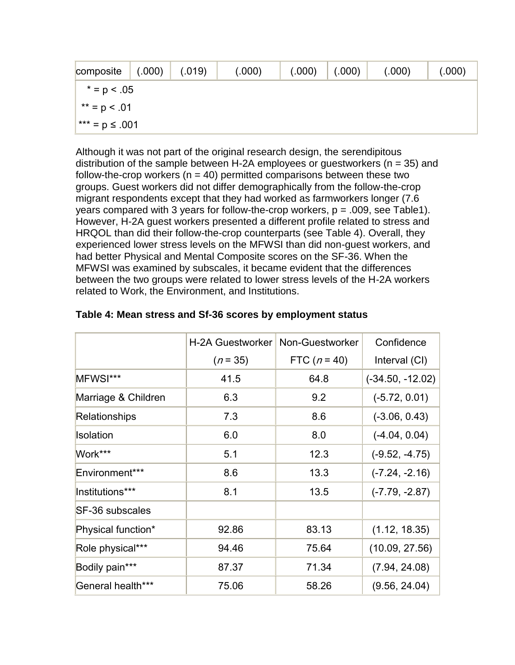| composite           | (.000) | (.019) | (.000) | (.000) | (.000) | (.000) | (.000) |
|---------------------|--------|--------|--------|--------|--------|--------|--------|
| $* = p < .05$       |        |        |        |        |        |        |        |
| ** = $p < .01$      |        |        |        |        |        |        |        |
| $x*** = p \le .001$ |        |        |        |        |        |        |        |

Although it was not part of the original research design, the serendipitous distribution of the sample between H-2A employees or guestworkers ( $n = 35$ ) and follow-the-crop workers ( $n = 40$ ) permitted comparisons between these two groups. Guest workers did not differ demographically from the follow-the-crop migrant respondents except that they had worked as farmworkers longer (7.6 years compared with 3 years for follow-the-crop workers,  $p = .009$ , see Table1). However, H-2A guest workers presented a different profile related to stress and HRQOL than did their follow-the-crop counterparts (see Table 4). Overall, they experienced lower stress levels on the MFWSI than did non-guest workers, and had better Physical and Mental Composite scores on the SF-36. When the MFWSI was examined by subscales, it became evident that the differences between the two groups were related to lower stress levels of the H-2A workers related to Work, the Environment, and Institutions.

|                     | <b>H-2A Guestworker</b> | Non-Guestworker | Confidence         |
|---------------------|-------------------------|-----------------|--------------------|
|                     | $(n = 35)$              | FTC $(n = 40)$  | Interval (CI)      |
| MFWSI***            | 41.5                    | 64.8            | $(-34.50, -12.02)$ |
| Marriage & Children | 6.3                     | 9.2             | $(-5.72, 0.01)$    |
| Relationships       | 7.3                     | 8.6             | $(-3.06, 0.43)$    |
| Isolation           | 6.0                     | 8.0             | $(-4.04, 0.04)$    |
| Work***             | 5.1                     | 12.3            | $(-9.52, -4.75)$   |
| Environment***      | 8.6                     | 13.3            | $(-7.24, -2.16)$   |
| Institutions***     | 8.1                     | 13.5            | $(-7.79, -2.87)$   |
| SF-36 subscales     |                         |                 |                    |
| Physical function*  | 92.86                   | 83.13           | (1.12, 18.35)      |
| Role physical***    | 94.46                   | 75.64           | (10.09, 27.56)     |
| Bodily pain***      | 87.37                   | 71.34           | (7.94, 24.08)      |
| General health***   | 75.06                   | 58.26           | (9.56, 24.04)      |

# **Table 4: Mean stress and Sf-36 scores by employment status**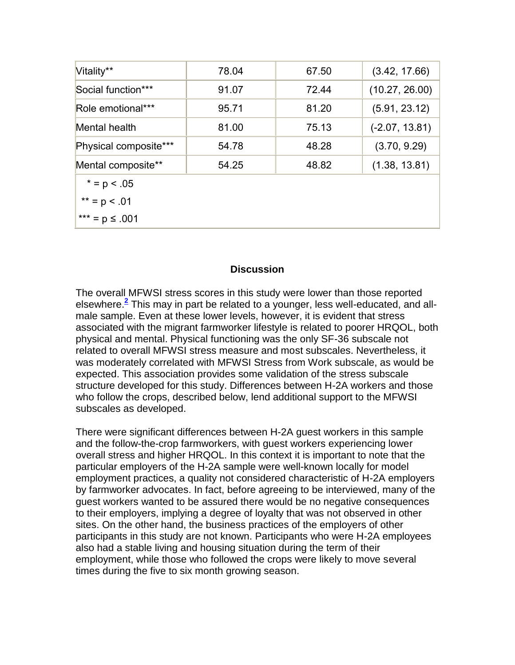| Vitality**            | 78.04 | 67.50 | (3.42, 17.66)    |
|-----------------------|-------|-------|------------------|
| Social function***    | 91.07 | 72.44 | (10.27, 26.00)   |
| Role emotional***     | 95.71 | 81.20 | (5.91, 23.12)    |
| Mental health         | 81.00 | 75.13 | $(-2.07, 13.81)$ |
| Physical composite*** | 54.78 | 48.28 | (3.70, 9.29)     |
| Mental composite**    | 54.25 | 48.82 | (1.38, 13.81)    |
| $* = p < .05$         |       |       |                  |
| ** = $p$ < .01        |       |       |                  |
| *** = $p \le .001$    |       |       |                  |

#### **Discussion**

The overall MFWSI stress scores in this study were lower than those reported elsewhere.**[2](http://snrs.org/publications/SOJNR_articles2/n)** This may in part be related to a younger, less well-educated, and allmale sample. Even at these lower levels, however, it is evident that stress associated with the migrant farmworker lifestyle is related to poorer HRQOL, both physical and mental. Physical functioning was the only SF-36 subscale not related to overall MFWSI stress measure and most subscales. Nevertheless, it was moderately correlated with MFWSI Stress from Work subscale, as would be expected. This association provides some validation of the stress subscale structure developed for this study. Differences between H-2A workers and those who follow the crops, described below, lend additional support to the MFWSI subscales as developed.

There were significant differences between H-2A guest workers in this sample and the follow-the-crop farmworkers, with guest workers experiencing lower overall stress and higher HRQOL. In this context it is important to note that the particular employers of the H-2A sample were well-known locally for model employment practices, a quality not considered characteristic of H-2A employers by farmworker advocates. In fact, before agreeing to be interviewed, many of the guest workers wanted to be assured there would be no negative consequences to their employers, implying a degree of loyalty that was not observed in other sites. On the other hand, the business practices of the employers of other participants in this study are not known. Participants who were H-2A employees also had a stable living and housing situation during the term of their employment, while those who followed the crops were likely to move several times during the five to six month growing season.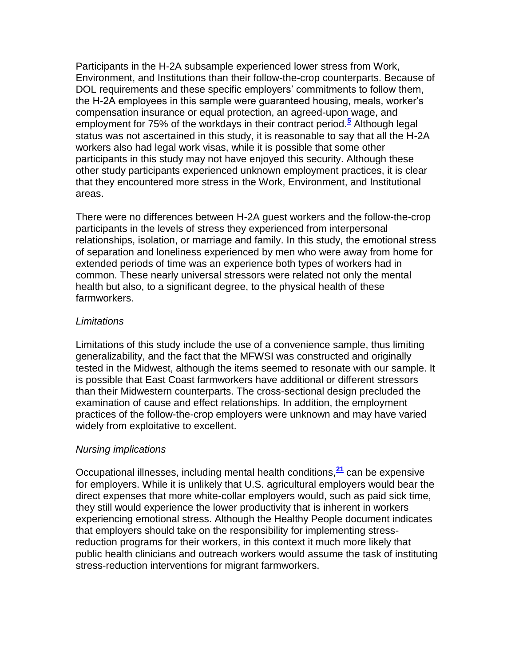Participants in the H-2A subsample experienced lower stress from Work, Environment, and Institutions than their follow-the-crop counterparts. Because of DOL requirements and these specific employers' commitments to follow them, the H-2A employees in this sample were guaranteed housing, meals, worker's compensation insurance or equal protection, an agreed-upon wage, and employment for 75% of the workdays in their contract period.**[5](http://snrs.org/publications/SOJNR_articles2/n)** Although legal status was not ascertained in this study, it is reasonable to say that all the H-2A workers also had legal work visas, while it is possible that some other participants in this study may not have enjoyed this security. Although these other study participants experienced unknown employment practices, it is clear that they encountered more stress in the Work, Environment, and Institutional areas.

There were no differences between H-2A guest workers and the follow-the-crop participants in the levels of stress they experienced from interpersonal relationships, isolation, or marriage and family. In this study, the emotional stress of separation and loneliness experienced by men who were away from home for extended periods of time was an experience both types of workers had in common. These nearly universal stressors were related not only the mental health but also, to a significant degree, to the physical health of these farmworkers.

#### *Limitations*

Limitations of this study include the use of a convenience sample, thus limiting generalizability, and the fact that the MFWSI was constructed and originally tested in the Midwest, although the items seemed to resonate with our sample. It is possible that East Coast farmworkers have additional or different stressors than their Midwestern counterparts. The cross-sectional design precluded the examination of cause and effect relationships. In addition, the employment practices of the follow-the-crop employers were unknown and may have varied widely from exploitative to excellent.

## *Nursing implications*

Occupational illnesses, including mental health conditions,**[21](http://snrs.org/publications/SOJNR_articles2/n)** can be expensive for employers. While it is unlikely that U.S. agricultural employers would bear the direct expenses that more white-collar employers would, such as paid sick time, they still would experience the lower productivity that is inherent in workers experiencing emotional stress. Although the Healthy People document indicates that employers should take on the responsibility for implementing stressreduction programs for their workers, in this context it much more likely that public health clinicians and outreach workers would assume the task of instituting stress-reduction interventions for migrant farmworkers.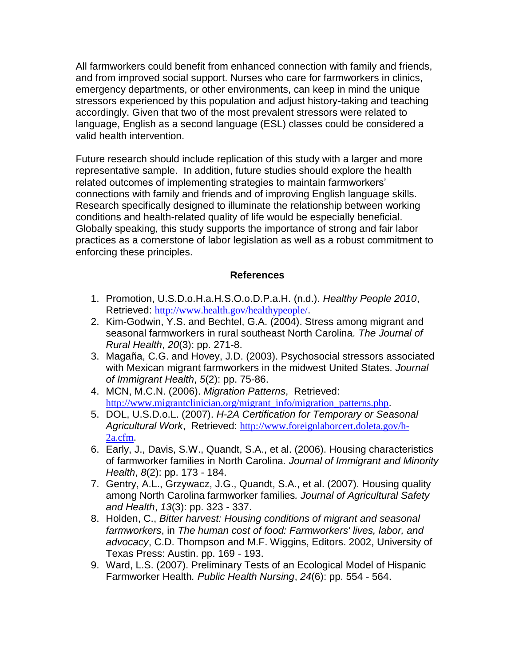All farmworkers could benefit from enhanced connection with family and friends, and from improved social support. Nurses who care for farmworkers in clinics, emergency departments, or other environments, can keep in mind the unique stressors experienced by this population and adjust history-taking and teaching accordingly. Given that two of the most prevalent stressors were related to language, English as a second language (ESL) classes could be considered a valid health intervention.

Future research should include replication of this study with a larger and more representative sample. In addition, future studies should explore the health related outcomes of implementing strategies to maintain farmworkers' connections with family and friends and of improving English language skills. Research specifically designed to illuminate the relationship between working conditions and health-related quality of life would be especially beneficial. Globally speaking, this study supports the importance of strong and fair labor practices as a cornerstone of labor legislation as well as a robust commitment to enforcing these principles.

## **References**

- 1. Promotion, U.S.D.o.H.a.H.S.O.o.D.P.a.H. (n.d.). *Healthy People 2010*, Retrieved: <http://www.health.gov/healthypeople/>.
- 2. Kim-Godwin, Y.S. and Bechtel, G.A. (2004). Stress among migrant and seasonal farmworkers in rural southeast North Carolina*. The Journal of Rural Health*, *20*(3): pp. 271-8.
- 3. Magaña, C.G. and Hovey, J.D. (2003). Psychosocial stressors associated with Mexican migrant farmworkers in the midwest United States*. Journal of Immigrant Health*, *5*(2): pp. 75-86.
- 4. MCN, M.C.N. (2006). *Migration Patterns*, Retrieved: [http://www.migrantclinician.org/migrant\\_info/migration\\_patterns.php](http://www.migrantclinician.org/migrant_info/migration_patterns.php).
- 5. DOL, U.S.D.o.L. (2007). *H-2A Certification for Temporary or Seasonal Agricultural Work*, Retrieved: [http://www.foreignlaborcert.doleta.gov/h-](http://www.foreignlaborcert.doleta.gov/h-2a.cfm)[2a.cfm](http://www.foreignlaborcert.doleta.gov/h-2a.cfm).
- 6. Early, J., Davis, S.W., Quandt, S.A., et al. (2006). Housing characteristics of farmworker families in North Carolina*. Journal of Immigrant and Minority Health*, *8*(2): pp. 173 - 184.
- 7. Gentry, A.L., Grzywacz, J.G., Quandt, S.A., et al. (2007). Housing quality among North Carolina farmworker families*. Journal of Agricultural Safety and Health*, *13*(3): pp. 323 - 337.
- 8. Holden, C., *Bitter harvest: Housing conditions of migrant and seasonal farmworkers*, in *The human cost of food: Farmworkers' lives, labor, and advocacy*, C.D. Thompson and M.F. Wiggins, Editors. 2002, University of Texas Press: Austin. pp. 169 - 193.
- 9. Ward, L.S. (2007). Preliminary Tests of an Ecological Model of Hispanic Farmworker Health*. Public Health Nursing*, *24*(6): pp. 554 - 564.